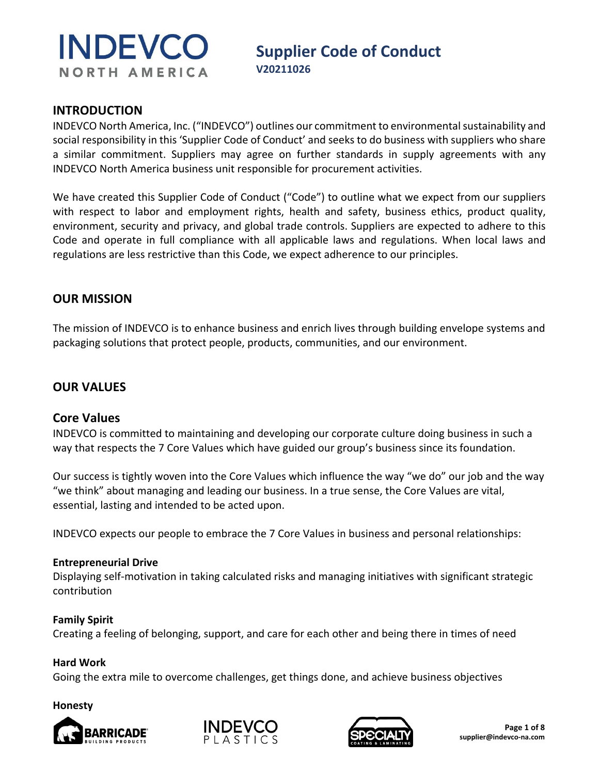

# **Supplier Code of Conduct**

#### **INTRODUCTION**

INDEVCO North America, Inc. ("INDEVCO") outlines our commitment to environmental sustainability and social responsibility in this 'Supplier Code of Conduct' and seeks to do business with suppliers who share a similar commitment. Suppliers may agree on further standards in supply agreements with any INDEVCO North America business unit responsible for procurement activities.

We have created this Supplier Code of Conduct ("Code") to outline what we expect from our suppliers with respect to labor and employment rights, health and safety, business ethics, product quality, environment, security and privacy, and global trade controls. Suppliers are expected to adhere to this Code and operate in full compliance with all applicable laws and regulations. When local laws and regulations are less restrictive than this Code, we expect adherence to our principles.

#### **OUR MISSION**

The mission of INDEVCO is to enhance business and enrich lives through building envelope systems and packaging solutions that protect people, products, communities, and our environment.

# **OUR VALUES**

#### **Core Values**

INDEVCO is committed to maintaining and developing our corporate culture doing business in such a way that respects the 7 Core Values which have guided our group's business since its foundation.

Our success is tightly woven into the Core Values which influence the way "we do" our job and the way "we think" about managing and leading our business. In a true sense, the Core Values are vital, essential, lasting and intended to be acted upon.

INDEVCO expects our people to embrace the 7 Core Values in business and personal relationships:

#### **Entrepreneurial Drive**

Displaying self-motivation in taking calculated risks and managing initiatives with significant strategic contribution

#### **Family Spirit**

Creating a feeling of belonging, support, and care for each other and being there in times of need

#### **Hard Work**

Going the extra mile to overcome challenges, get things done, and achieve business objectives

#### **Honesty**





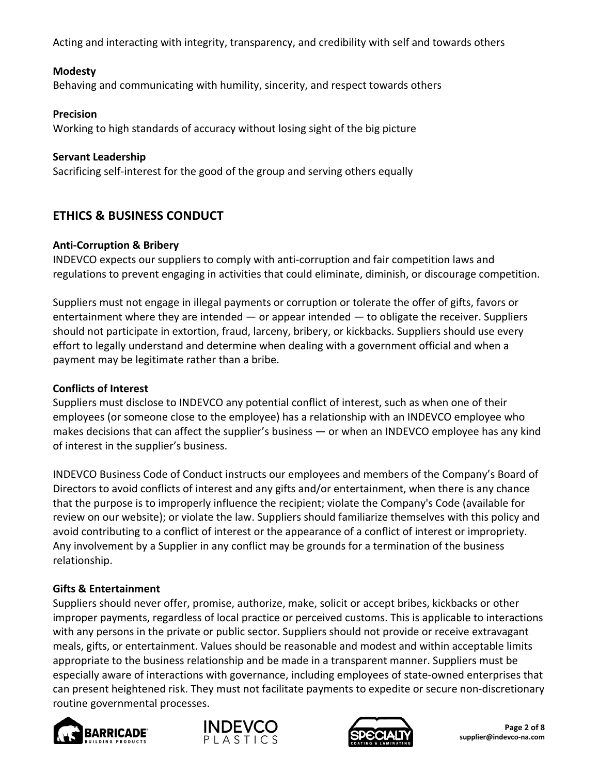Acting and interacting with integrity, transparency, and credibility with self and towards others

#### **Modesty**

Behaving and communicating with humility, sincerity, and respect towards others

#### **Precision**

Working to high standards of accuracy without losing sight of the big picture

#### **Servant Leadership**

Sacrificing self-interest for the good of the group and serving others equally

# **ETHICS & BUSINESS CONDUCT**

#### **Anti-Corruption & Bribery**

INDEVCO expects our suppliers to comply with anti-corruption and fair competition laws and regulations to prevent engaging in activities that could eliminate, diminish, or discourage competition.

Suppliers must not engage in illegal payments or corruption or tolerate the offer of gifts, favors or entertainment where they are intended — or appear intended — to obligate the receiver. Suppliers should not participate in extortion, fraud, larceny, bribery, or kickbacks. Suppliers should use every effort to legally understand and determine when dealing with a government official and when a payment may be legitimate rather than a bribe.

#### **Conflicts of Interest**

Suppliers must disclose to INDEVCO any potential conflict of interest, such as when one of their employees (or someone close to the employee) has a relationship with an INDEVCO employee who makes decisions that can affect the supplier's business — or when an INDEVCO employee has any kind of interest in the supplier's business.

INDEVCO Business Code of Conduct instructs our employees and members of the Company's Board of Directors to avoid conflicts of interest and any gifts and/or entertainment, when there is any chance that the purpose is to improperly influence the recipient; violate the Company's Code (available for review on our website); or violate the law. Suppliers should familiarize themselves with this policy and avoid contributing to a conflict of interest or the appearance of a conflict of interest or impropriety. Any involvement by a Supplier in any conflict may be grounds for a termination of the business relationship.

#### **Gifts & Entertainment**

Suppliers should never offer, promise, authorize, make, solicit or accept bribes, kickbacks or other improper payments, regardless of local practice or perceived customs. This is applicable to interactions with any persons in the private or public sector. Suppliers should not provide or receive extravagant meals, gifts, or entertainment. Values should be reasonable and modest and within acceptable limits appropriate to the business relationship and be made in a transparent manner. Suppliers must be especially aware of interactions with governance, including employees of state-owned enterprises that can present heightened risk. They must not facilitate payments to expedite or secure non-discretionary routine governmental processes.





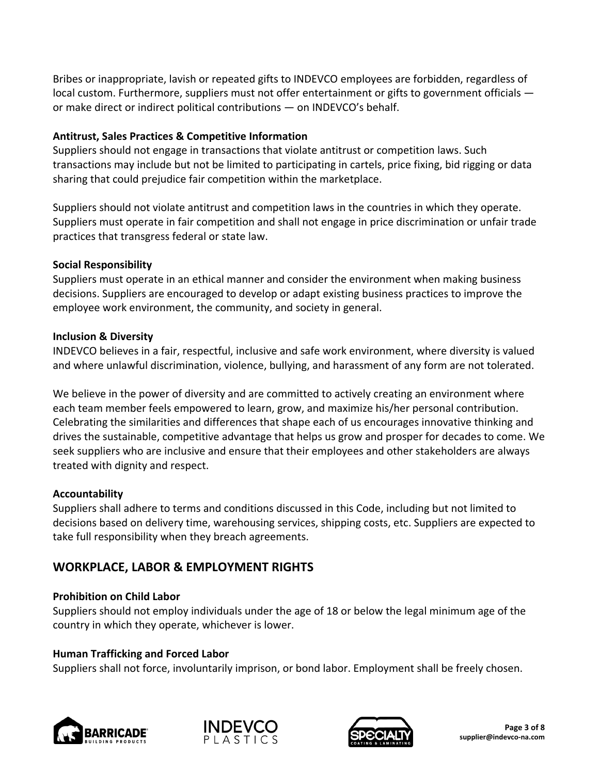Bribes or inappropriate, lavish or repeated gifts to INDEVCO employees are forbidden, regardless of local custom. Furthermore, suppliers must not offer entertainment or gifts to government officials  $$ or make direct or indirect political contributions — on INDEVCO's behalf.

#### **Antitrust, Sales Practices & Competitive Information**

Suppliers should not engage in transactions that violate antitrust or competition laws. Such transactions may include but not be limited to participating in cartels, price fixing, bid rigging or data sharing that could prejudice fair competition within the marketplace.

Suppliers should not violate antitrust and competition laws in the countries in which they operate. Suppliers must operate in fair competition and shall not engage in price discrimination or unfair trade practices that transgress federal or state law.

## **Social Responsibility**

Suppliers must operate in an ethical manner and consider the environment when making business decisions. Suppliers are encouraged to develop or adapt existing business practices to improve the employee work environment, the community, and society in general.

## **Inclusion & Diversity**

INDEVCO believes in a fair, respectful, inclusive and safe work environment, where diversity is valued and where unlawful discrimination, violence, bullying, and harassment of any form are not tolerated.

We believe in the power of diversity and are committed to actively creating an environment where each team member feels empowered to learn, grow, and maximize his/her personal contribution. Celebrating the similarities and differences that shape each of us encourages innovative thinking and drives the sustainable, competitive advantage that helps us grow and prosper for decades to come. We seek suppliers who are inclusive and ensure that their employees and other stakeholders are always treated with dignity and respect.

# **Accountability**

Suppliers shall adhere to terms and conditions discussed in this Code, including but not limited to decisions based on delivery time, warehousing services, shipping costs, etc. Suppliers are expected to take full responsibility when they breach agreements.

# **WORKPLACE, LABOR & EMPLOYMENT RIGHTS**

# **Prohibition on Child Labor**

Suppliers should not employ individuals under the age of 18 or below the legal minimum age of the country in which they operate, whichever is lower.

# **Human Trafficking and Forced Labor**

Suppliers shall not force, involuntarily imprison, or bond labor. Employment shall be freely chosen.





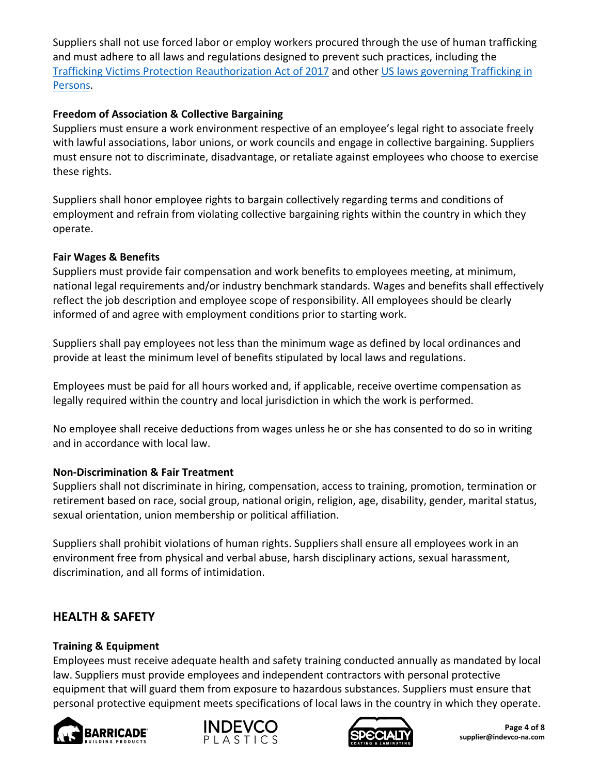Suppliers shall not use forced labor or employ workers procured through the use of human trafficking and must adhere to all laws and regulations designed to prevent such practices, including the [Trafficking Victims Protection Reauthorization Act of 2017](https://www.govinfo.gov/content/pkg/BILLS-115s1862enr/pdf/BILLS-115s1862enr.pdf) and other [US laws governing Trafficking in](https://www.state.gov/international-and-domestic-law/)  [Persons.](https://www.state.gov/international-and-domestic-law/)

## **Freedom of Association & Collective Bargaining**

Suppliers must ensure a work environment respective of an employee's legal right to associate freely with lawful associations, labor unions, or work councils and engage in collective bargaining. Suppliers must ensure not to discriminate, disadvantage, or retaliate against employees who choose to exercise these rights.

Suppliers shall honor employee rights to bargain collectively regarding terms and conditions of employment and refrain from violating collective bargaining rights within the country in which they operate.

## **Fair Wages & Benefits**

Suppliers must provide fair compensation and work benefits to employees meeting, at minimum, national legal requirements and/or industry benchmark standards. Wages and benefits shall effectively reflect the job description and employee scope of responsibility. All employees should be clearly informed of and agree with employment conditions prior to starting work.

Suppliers shall pay employees not less than the minimum wage as defined by local ordinances and provide at least the minimum level of benefits stipulated by local laws and regulations.

Employees must be paid for all hours worked and, if applicable, receive overtime compensation as legally required within the country and local jurisdiction in which the work is performed.

No employee shall receive deductions from wages unless he or she has consented to do so in writing and in accordance with local law.

#### **Non-Discrimination & Fair Treatment**

Suppliers shall not discriminate in hiring, compensation, access to training, promotion, termination or retirement based on race, social group, national origin, religion, age, disability, gender, marital status, sexual orientation, union membership or political affiliation.

Suppliers shall prohibit violations of human rights. Suppliers shall ensure all employees work in an environment free from physical and verbal abuse, harsh disciplinary actions, sexual harassment, discrimination, and all forms of intimidation.

# **HEALTH & SAFETY**

#### **Training & Equipment**

Employees must receive adequate health and safety training conducted annually as mandated by local law. Suppliers must provide employees and independent contractors with personal protective equipment that will guard them from exposure to hazardous substances. Suppliers must ensure that personal protective equipment meets specifications of local laws in the country in which they operate.







**Page 4 of 8 supplier@indevco-na.com**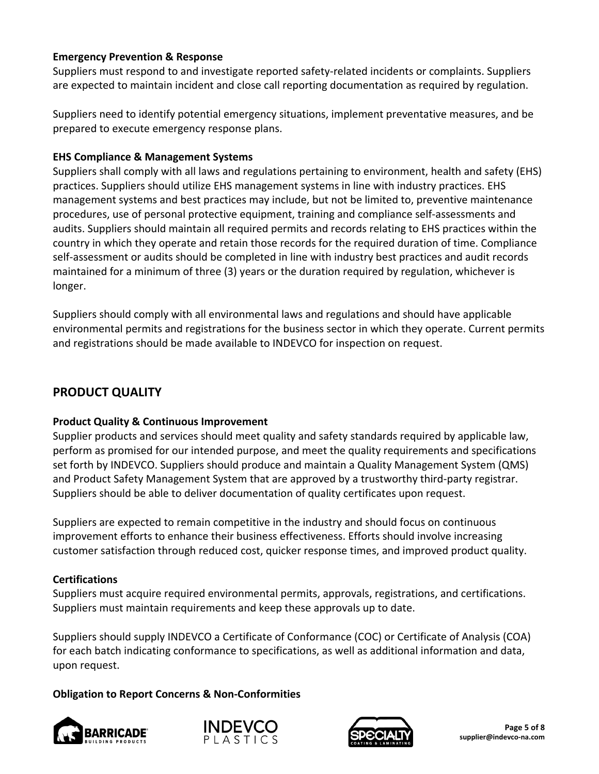## **Emergency Prevention & Response**

Suppliers must respond to and investigate reported safety-related incidents or complaints. Suppliers are expected to maintain incident and close call reporting documentation as required by regulation.

Suppliers need to identify potential emergency situations, implement preventative measures, and be prepared to execute emergency response plans.

#### **EHS Compliance & Management Systems**

Suppliers shall comply with all laws and regulations pertaining to environment, health and safety (EHS) practices. Suppliers should utilize EHS management systems in line with industry practices. EHS management systems and best practices may include, but not be limited to, preventive maintenance procedures, use of personal protective equipment, training and compliance self-assessments and audits. Suppliers should maintain all required permits and records relating to EHS practices within the country in which they operate and retain those records for the required duration of time. Compliance self-assessment or audits should be completed in line with industry best practices and audit records maintained for a minimum of three (3) years or the duration required by regulation, whichever is longer.

Suppliers should comply with all environmental laws and regulations and should have applicable environmental permits and registrations for the business sector in which they operate. Current permits and registrations should be made available to INDEVCO for inspection on request.

# **PRODUCT QUALITY**

#### **Product Quality & Continuous Improvement**

Supplier products and services should meet quality and safety standards required by applicable law, perform as promised for our intended purpose, and meet the quality requirements and specifications set forth by INDEVCO. Suppliers should produce and maintain a Quality Management System (QMS) and Product Safety Management System that are approved by a trustworthy third-party registrar. Suppliers should be able to deliver documentation of quality certificates upon request.

Suppliers are expected to remain competitive in the industry and should focus on continuous improvement efforts to enhance their business effectiveness. Efforts should involve increasing customer satisfaction through reduced cost, quicker response times, and improved product quality.

#### **Certifications**

Suppliers must acquire required environmental permits, approvals, registrations, and certifications. Suppliers must maintain requirements and keep these approvals up to date.

Suppliers should supply INDEVCO a Certificate of Conformance (COC) or Certificate of Analysis (COA) for each batch indicating conformance to specifications, as well as additional information and data, upon request.

# **Obligation to Report Concerns & Non-Conformities**





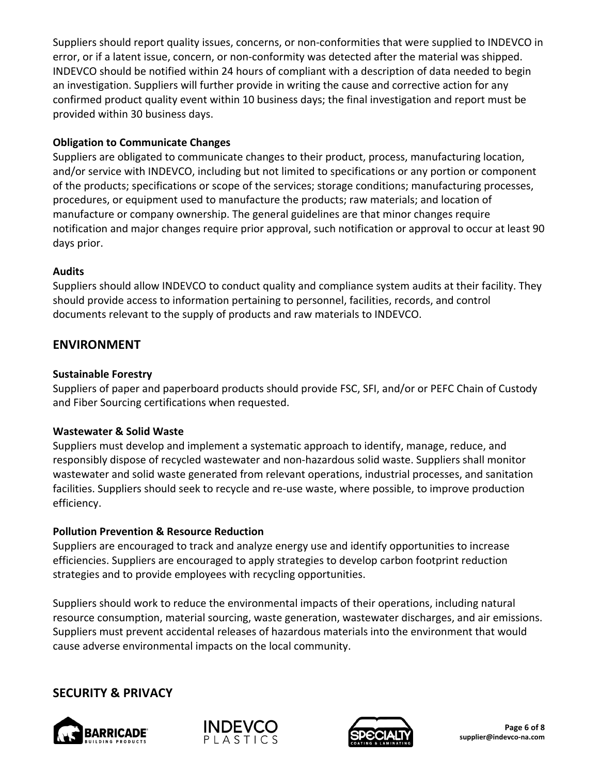Suppliers should report quality issues, concerns, or non-conformities that were supplied to INDEVCO in error, or if a latent issue, concern, or non-conformity was detected after the material was shipped. INDEVCO should be notified within 24 hours of compliant with a description of data needed to begin an investigation. Suppliers will further provide in writing the cause and corrective action for any confirmed product quality event within 10 business days; the final investigation and report must be provided within 30 business days.

## **Obligation to Communicate Changes**

Suppliers are obligated to communicate changes to their product, process, manufacturing location, and/or service with INDEVCO, including but not limited to specifications or any portion or component of the products; specifications or scope of the services; storage conditions; manufacturing processes, procedures, or equipment used to manufacture the products; raw materials; and location of manufacture or company ownership. The general guidelines are that minor changes require notification and major changes require prior approval, such notification or approval to occur at least 90 days prior.

## **Audits**

Suppliers should allow INDEVCO to conduct quality and compliance system audits at their facility. They should provide access to information pertaining to personnel, facilities, records, and control documents relevant to the supply of products and raw materials to INDEVCO.

# **ENVIRONMENT**

## **Sustainable Forestry**

Suppliers of paper and paperboard products should provide FSC, SFI, and/or or PEFC Chain of Custody and Fiber Sourcing certifications when requested.

#### **Wastewater & Solid Waste**

Suppliers must develop and implement a systematic approach to identify, manage, reduce, and responsibly dispose of recycled wastewater and non-hazardous solid waste. Suppliers shall monitor wastewater and solid waste generated from relevant operations, industrial processes, and sanitation facilities. Suppliers should seek to recycle and re-use waste, where possible, to improve production efficiency.

# **Pollution Prevention & Resource Reduction**

Suppliers are encouraged to track and analyze energy use and identify opportunities to increase efficiencies. Suppliers are encouraged to apply strategies to develop carbon footprint reduction strategies and to provide employees with recycling opportunities.

Suppliers should work to reduce the environmental impacts of their operations, including natural resource consumption, material sourcing, waste generation, wastewater discharges, and air emissions. Suppliers must prevent accidental releases of hazardous materials into the environment that would cause adverse environmental impacts on the local community.

# **SECURITY & PRIVACY**





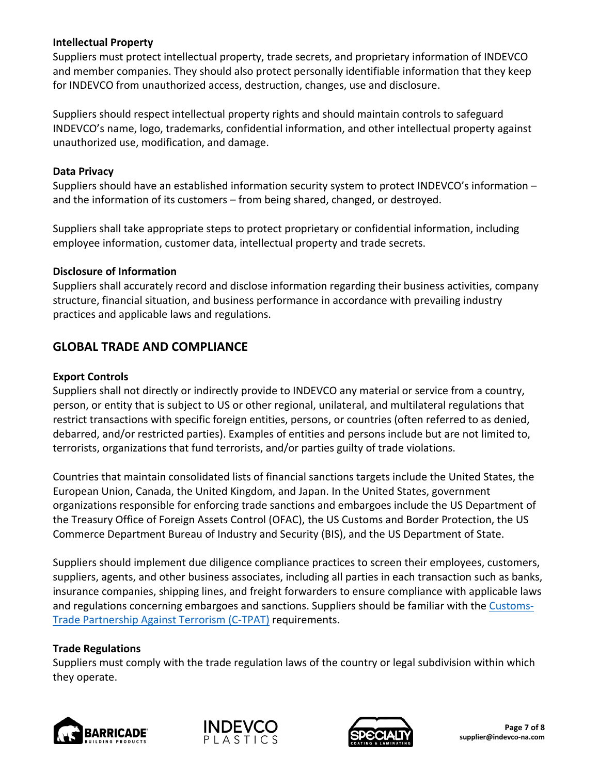#### **Intellectual Property**

Suppliers must protect intellectual property, trade secrets, and proprietary information of INDEVCO and member companies. They should also protect personally identifiable information that they keep for INDEVCO from unauthorized access, destruction, changes, use and disclosure.

Suppliers should respect intellectual property rights and should maintain controls to safeguard INDEVCO's name, logo, trademarks, confidential information, and other intellectual property against unauthorized use, modification, and damage.

#### **Data Privacy**

Suppliers should have an established information security system to protect INDEVCO's information – and the information of its customers – from being shared, changed, or destroyed.

Suppliers shall take appropriate steps to protect proprietary or confidential information, including employee information, customer data, intellectual property and trade secrets.

#### **Disclosure of Information**

Suppliers shall accurately record and disclose information regarding their business activities, company structure, financial situation, and business performance in accordance with prevailing industry practices and applicable laws and regulations.

# **GLOBAL TRADE AND COMPLIANCE**

#### **Export Controls**

Suppliers shall not directly or indirectly provide to INDEVCO any material or service from a country, person, or entity that is subject to US or other regional, unilateral, and multilateral regulations that restrict transactions with specific foreign entities, persons, or countries (often referred to as denied, debarred, and/or restricted parties). Examples of entities and persons include but are not limited to, terrorists, organizations that fund terrorists, and/or parties guilty of trade violations.

Countries that maintain consolidated lists of financial sanctions targets include the United States, the European Union, Canada, the United Kingdom, and Japan. In the United States, government organizations responsible for enforcing trade sanctions and embargoes include the US Department of the Treasury Office of Foreign Assets Control (OFAC), the US Customs and Border Protection, the US Commerce Department Bureau of Industry and Security (BIS), and the US Department of State.

Suppliers should implement due diligence compliance practices to screen their employees, customers, suppliers, agents, and other business associates, including all parties in each transaction such as banks, insurance companies, shipping lines, and freight forwarders to ensure compliance with applicable laws and regulations concerning embargoes and sanctions. Suppliers should be familiar with the [Customs-](https://www.dhs.gov/publication/customs-trade-partnership-against-terrorism-c-tpat)[Trade Partnership Against Terrorism \(C-TPAT\)](https://www.dhs.gov/publication/customs-trade-partnership-against-terrorism-c-tpat) requirements.

#### **Trade Regulations**

Suppliers must comply with the trade regulation laws of the country or legal subdivision within which they operate.